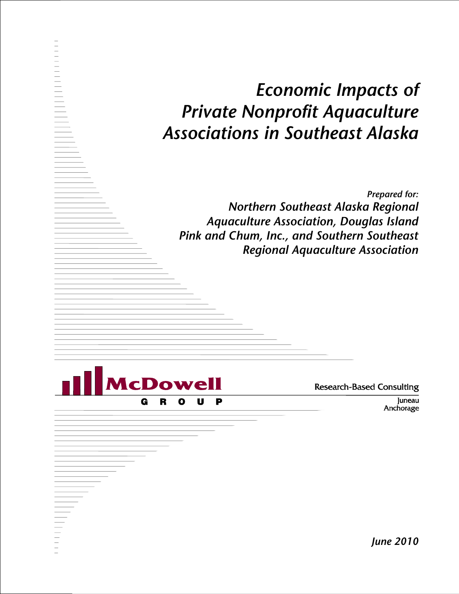# *Economic Impacts of Private Nonprofit Aquaculture Associations in Southeast Alaska*

*Prepared for: Northern Southeast Alaska Regional Aquaculture Association, Douglas Island Pink and Chum, Inc., and Southern Southeast Regional Aquaculture Association*



**Research-Based Consulting** 

Juneau Anchorage

*June 2010*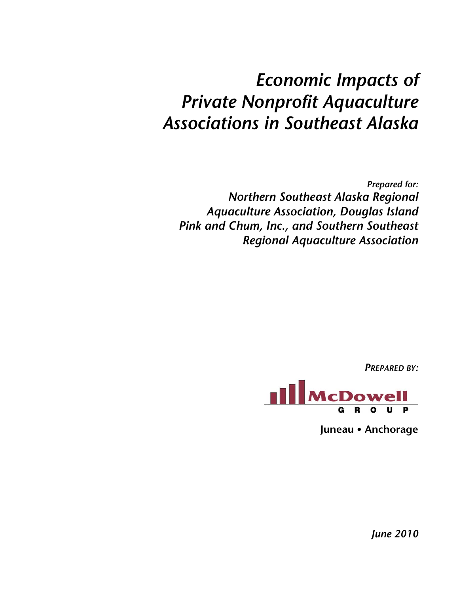# *Economic Impacts of Private Nonprofit Aquaculture Associations in Southeast Alaska*

*Prepared for: Northern Southeast Alaska Regional Aquaculture Association, Douglas Island Pink and Chum, Inc., and Southern Southeast Regional Aquaculture Association*

*PREPARED BY:* 



**Juneau Anchorage**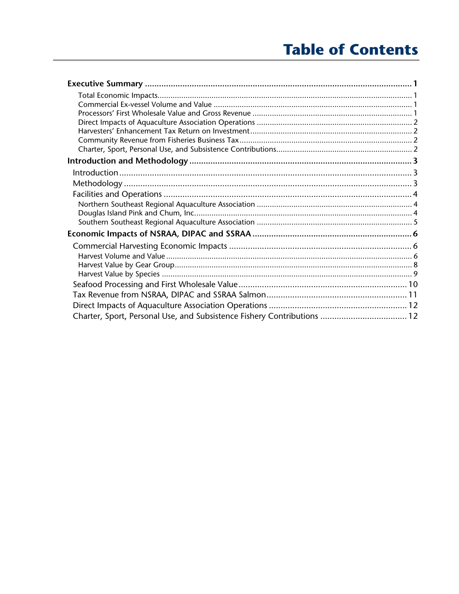# **Table of Contents**

| Charter, Sport, Personal Use, and Subsistence Fishery Contributions  12 |  |
|-------------------------------------------------------------------------|--|
|                                                                         |  |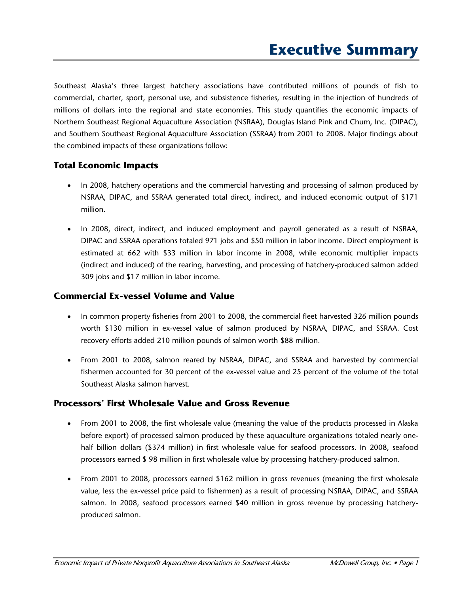Southeast Alaska's three largest hatchery associations have contributed millions of pounds of fish to commercial, charter, sport, personal use, and subsistence fisheries, resulting in the injection of hundreds of millions of dollars into the regional and state economies. This study quantifies the economic impacts of Northern Southeast Regional Aquaculture Association (NSRAA), Douglas Island Pink and Chum, Inc. (DIPAC), and Southern Southeast Regional Aquaculture Association (SSRAA) from 2001 to 2008. Major findings about the combined impacts of these organizations follow:

#### **Total Economic Impacts**

- In 2008, hatchery operations and the commercial harvesting and processing of salmon produced by NSRAA, DIPAC, and SSRAA generated total direct, indirect, and induced economic output of \$171 million.
- In 2008, direct, indirect, and induced employment and payroll generated as a result of NSRAA, DIPAC and SSRAA operations totaled 971 jobs and \$50 million in labor income. Direct employment is estimated at 662 with \$33 million in labor income in 2008, while economic multiplier impacts (indirect and induced) of the rearing, harvesting, and processing of hatchery-produced salmon added 309 jobs and \$17 million in labor income.

#### **Commercial Ex-vessel Volume and Value**

- In common property fisheries from 2001 to 2008, the commercial fleet harvested 326 million pounds worth \$130 million in ex-vessel value of salmon produced by NSRAA, DIPAC, and SSRAA. Cost recovery efforts added 210 million pounds of salmon worth \$88 million.
- From 2001 to 2008, salmon reared by NSRAA, DIPAC, and SSRAA and harvested by commercial fishermen accounted for 30 percent of the ex-vessel value and 25 percent of the volume of the total Southeast Alaska salmon harvest.

#### **Processors' First Wholesale Value and Gross Revenue**

- From 2001 to 2008, the first wholesale value (meaning the value of the products processed in Alaska before export) of processed salmon produced by these aquaculture organizations totaled nearly onehalf billion dollars (\$374 million) in first wholesale value for seafood processors. In 2008, seafood processors earned \$ 98 million in first wholesale value by processing hatchery-produced salmon.
- From 2001 to 2008, processors earned \$162 million in gross revenues (meaning the first wholesale value, less the ex-vessel price paid to fishermen) as a result of processing NSRAA, DIPAC, and SSRAA salmon. In 2008, seafood processors earned \$40 million in gross revenue by processing hatcheryproduced salmon.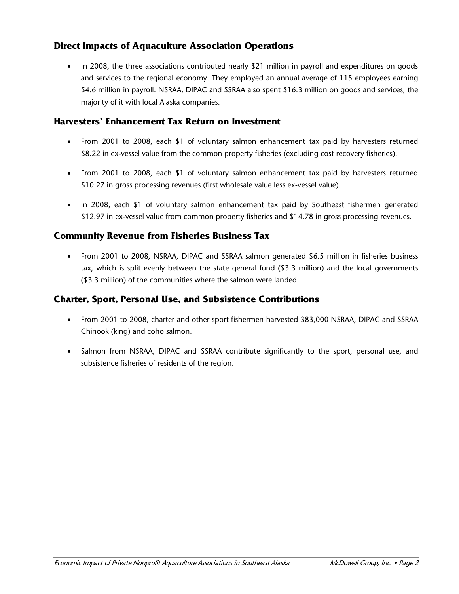### **Direct Impacts of Aquaculture Association Operations**

• In 2008, the three associations contributed nearly \$21 million in payroll and expenditures on goods and services to the regional economy. They employed an annual average of 115 employees earning \$4.6 million in payroll. NSRAA, DIPAC and SSRAA also spent \$16.3 million on goods and services, the majority of it with local Alaska companies.

#### **Harvesters' Enhancement Tax Return on Investment**

- From 2001 to 2008, each \$1 of voluntary salmon enhancement tax paid by harvesters returned \$8.22 in ex-vessel value from the common property fisheries (excluding cost recovery fisheries).
- From 2001 to 2008, each \$1 of voluntary salmon enhancement tax paid by harvesters returned \$10.27 in gross processing revenues (first wholesale value less ex-vessel value).
- In 2008, each \$1 of voluntary salmon enhancement tax paid by Southeast fishermen generated \$12.97 in ex-vessel value from common property fisheries and \$14.78 in gross processing revenues.

#### **Community Revenue from Fisheries Business Tax**

• From 2001 to 2008, NSRAA, DIPAC and SSRAA salmon generated \$6.5 million in fisheries business tax, which is split evenly between the state general fund (\$3.3 million) and the local governments (\$3.3 million) of the communities where the salmon were landed.

### **Charter, Sport, Personal Use, and Subsistence Contributions**

- From 2001 to 2008, charter and other sport fishermen harvested 383,000 NSRAA, DIPAC and SSRAA Chinook (king) and coho salmon.
- Salmon from NSRAA, DIPAC and SSRAA contribute significantly to the sport, personal use, and subsistence fisheries of residents of the region.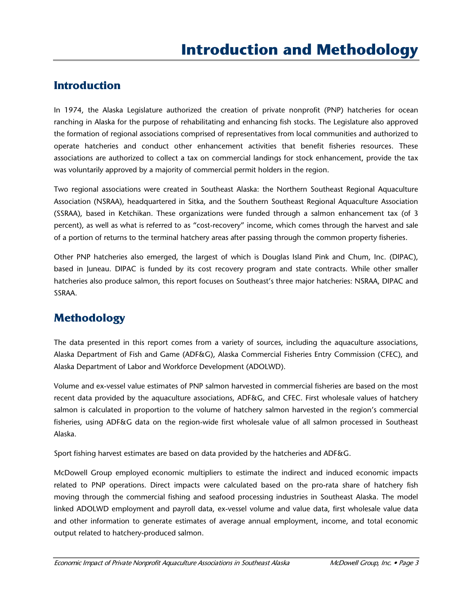## **Introduction**

In 1974, the Alaska Legislature authorized the creation of private nonprofit (PNP) hatcheries for ocean ranching in Alaska for the purpose of rehabilitating and enhancing fish stocks. The Legislature also approved the formation of regional associations comprised of representatives from local communities and authorized to operate hatcheries and conduct other enhancement activities that benefit fisheries resources. These associations are authorized to collect a tax on commercial landings for stock enhancement, provide the tax was voluntarily approved by a majority of commercial permit holders in the region.

Two regional associations were created in Southeast Alaska: the Northern Southeast Regional Aquaculture Association (NSRAA), headquartered in Sitka, and the Southern Southeast Regional Aquaculture Association (SSRAA), based in Ketchikan. These organizations were funded through a salmon enhancement tax (of 3 percent), as well as what is referred to as "cost-recovery" income, which comes through the harvest and sale of a portion of returns to the terminal hatchery areas after passing through the common property fisheries.

Other PNP hatcheries also emerged, the largest of which is Douglas Island Pink and Chum, Inc. (DIPAC), based in Juneau. DIPAC is funded by its cost recovery program and state contracts. While other smaller hatcheries also produce salmon, this report focuses on Southeast's three major hatcheries: NSRAA, DIPAC and SSRAA.

## **Methodology**

The data presented in this report comes from a variety of sources, including the aquaculture associations, Alaska Department of Fish and Game (ADF&G), Alaska Commercial Fisheries Entry Commission (CFEC), and Alaska Department of Labor and Workforce Development (ADOLWD).

Volume and ex-vessel value estimates of PNP salmon harvested in commercial fisheries are based on the most recent data provided by the aquaculture associations, ADF&G, and CFEC. First wholesale values of hatchery salmon is calculated in proportion to the volume of hatchery salmon harvested in the region's commercial fisheries, using ADF&G data on the region-wide first wholesale value of all salmon processed in Southeast Alaska.

Sport fishing harvest estimates are based on data provided by the hatcheries and ADF&G.

McDowell Group employed economic multipliers to estimate the indirect and induced economic impacts related to PNP operations. Direct impacts were calculated based on the pro-rata share of hatchery fish moving through the commercial fishing and seafood processing industries in Southeast Alaska. The model linked ADOLWD employment and payroll data, ex-vessel volume and value data, first wholesale value data and other information to generate estimates of average annual employment, income, and total economic output related to hatchery-produced salmon.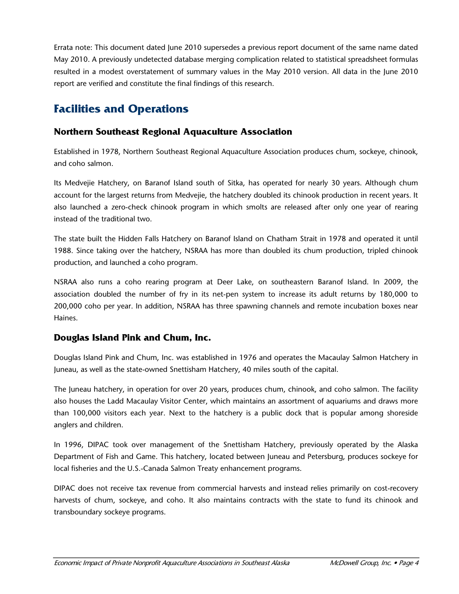Errata note: This document dated June 2010 supersedes a previous report document of the same name dated May 2010. A previously undetected database merging complication related to statistical spreadsheet formulas resulted in a modest overstatement of summary values in the May 2010 version. All data in the June 2010 report are verified and constitute the final findings of this research.

# **Facilities and Operations**

### **Northern Southeast Regional Aquaculture Association**

Established in 1978, Northern Southeast Regional Aquaculture Association produces chum, sockeye, chinook, and coho salmon.

Its Medvejie Hatchery, on Baranof Island south of Sitka, has operated for nearly 30 years. Although chum account for the largest returns from Medvejie, the hatchery doubled its chinook production in recent years. It also launched a zero-check chinook program in which smolts are released after only one year of rearing instead of the traditional two.

The state built the Hidden Falls Hatchery on Baranof Island on Chatham Strait in 1978 and operated it until 1988. Since taking over the hatchery, NSRAA has more than doubled its chum production, tripled chinook production, and launched a coho program.

NSRAA also runs a coho rearing program at Deer Lake, on southeastern Baranof Island. In 2009, the association doubled the number of fry in its net-pen system to increase its adult returns by 180,000 to 200,000 coho per year. In addition, NSRAA has three spawning channels and remote incubation boxes near Haines.

### **Douglas Island Pink and Chum, Inc.**

Douglas Island Pink and Chum, Inc. was established in 1976 and operates the Macaulay Salmon Hatchery in Juneau, as well as the state-owned Snettisham Hatchery, 40 miles south of the capital.

The Juneau hatchery, in operation for over 20 years, produces chum, chinook, and coho salmon. The facility also houses the Ladd Macaulay Visitor Center, which maintains an assortment of aquariums and draws more than 100,000 visitors each year. Next to the hatchery is a public dock that is popular among shoreside anglers and children.

In 1996, DIPAC took over management of the Snettisham Hatchery, previously operated by the Alaska Department of Fish and Game. This hatchery, located between Juneau and Petersburg, produces sockeye for local fisheries and the U.S.-Canada Salmon Treaty enhancement programs.

DIPAC does not receive tax revenue from commercial harvests and instead relies primarily on cost-recovery harvests of chum, sockeye, and coho. It also maintains contracts with the state to fund its chinook and transboundary sockeye programs.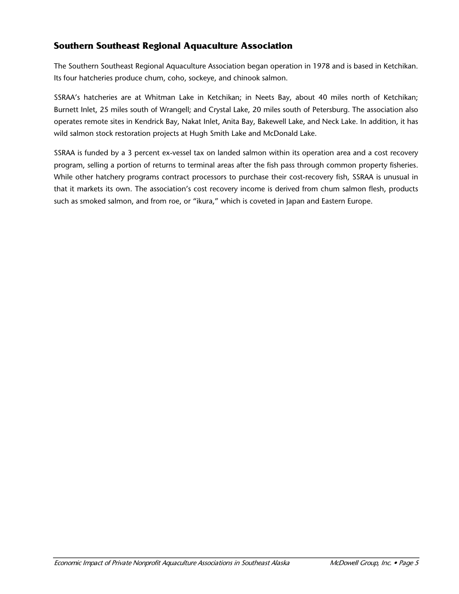## **Southern Southeast Regional Aquaculture Association**

The Southern Southeast Regional Aquaculture Association began operation in 1978 and is based in Ketchikan. Its four hatcheries produce chum, coho, sockeye, and chinook salmon.

SSRAA's hatcheries are at Whitman Lake in Ketchikan; in Neets Bay, about 40 miles north of Ketchikan; Burnett Inlet, 25 miles south of Wrangell; and Crystal Lake, 20 miles south of Petersburg. The association also operates remote sites in Kendrick Bay, Nakat Inlet, Anita Bay, Bakewell Lake, and Neck Lake. In addition, it has wild salmon stock restoration projects at Hugh Smith Lake and McDonald Lake.

SSRAA is funded by a 3 percent ex-vessel tax on landed salmon within its operation area and a cost recovery program, selling a portion of returns to terminal areas after the fish pass through common property fisheries. While other hatchery programs contract processors to purchase their cost-recovery fish, SSRAA is unusual in that it markets its own. The association's cost recovery income is derived from chum salmon flesh, products such as smoked salmon, and from roe, or "ikura," which is coveted in Japan and Eastern Europe.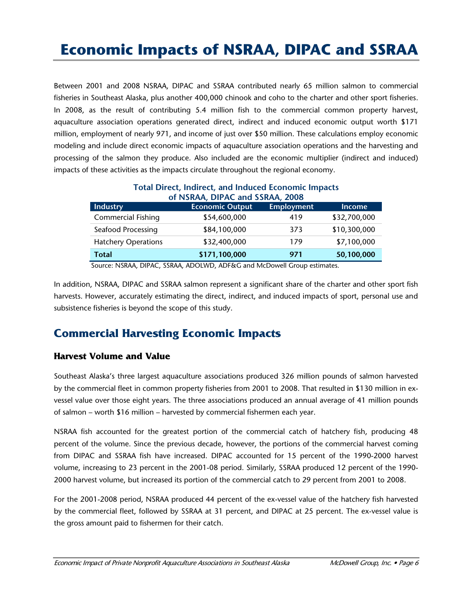# **Economic Impacts of NSRAA, DIPAC and SSRAA**

Between 2001 and 2008 NSRAA, DIPAC and SSRAA contributed nearly 65 million salmon to commercial fisheries in Southeast Alaska, plus another 400,000 chinook and coho to the charter and other sport fisheries. In 2008, as the result of contributing 5.4 million fish to the commercial common property harvest, aquaculture association operations generated direct, indirect and induced economic output worth \$171 million, employment of nearly 971, and income of just over \$50 million. These calculations employ economic modeling and include direct economic impacts of aquaculture association operations and the harvesting and processing of the salmon they produce. Also included are the economic multiplier (indirect and induced) impacts of these activities as the impacts circulate throughout the regional economy.

| $19.0001$ pm very manipery which microsed sectioning milpages<br>of NSRAA, DIPAC and SSRAA, 2008 |                        |                   |               |  |
|--------------------------------------------------------------------------------------------------|------------------------|-------------------|---------------|--|
| <b>Industry</b>                                                                                  | <b>Economic Output</b> | <b>Employment</b> | <b>Income</b> |  |
| <b>Commercial Fishing</b>                                                                        | \$54,600,000           | 419               | \$32,700,000  |  |
| Seafood Processing                                                                               | \$84,100,000           | 373               | \$10,300,000  |  |
| <b>Hatchery Operations</b>                                                                       | \$32,400,000           | 179               | \$7,100,000   |  |
| <b>Total</b>                                                                                     | \$171,100,000          | 971               | 50,100,000    |  |

**Total Direct, Indirect, and Induced Economic Impacts** 

Source: NSRAA, DIPAC, SSRAA, ADOLWD, ADF&G and McDowell Group estimates.

In addition, NSRAA, DIPAC and SSRAA salmon represent a significant share of the charter and other sport fish harvests. However, accurately estimating the direct, indirect, and induced impacts of sport, personal use and subsistence fisheries is beyond the scope of this study.

## **Commercial Harvesting Economic Impacts**

#### **Harvest Volume and Value**

Southeast Alaska's three largest aquaculture associations produced 326 million pounds of salmon harvested by the commercial fleet in common property fisheries from 2001 to 2008. That resulted in \$130 million in exvessel value over those eight years. The three associations produced an annual average of 41 million pounds of salmon – worth \$16 million – harvested by commercial fishermen each year.

NSRAA fish accounted for the greatest portion of the commercial catch of hatchery fish, producing 48 percent of the volume. Since the previous decade, however, the portions of the commercial harvest coming from DIPAC and SSRAA fish have increased. DIPAC accounted for 15 percent of the 1990-2000 harvest volume, increasing to 23 percent in the 2001-08 period. Similarly, SSRAA produced 12 percent of the 1990- 2000 harvest volume, but increased its portion of the commercial catch to 29 percent from 2001 to 2008.

For the 2001-2008 period, NSRAA produced 44 percent of the ex-vessel value of the hatchery fish harvested by the commercial fleet, followed by SSRAA at 31 percent, and DIPAC at 25 percent. The ex-vessel value is the gross amount paid to fishermen for their catch.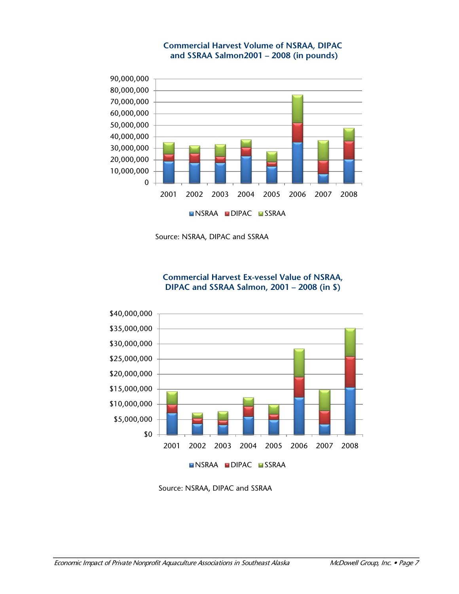

#### **Commercial Harvest Volume of NSRAA, DIPAC and SSRAA Salmon2001 – 2008 (in pounds)**

Source: NSRAA, DIPAC and SSRAA

**Commercial Harvest Ex-vessel Value of NSRAA, DIPAC and SSRAA Salmon, 2001 – 2008 (in \$)**



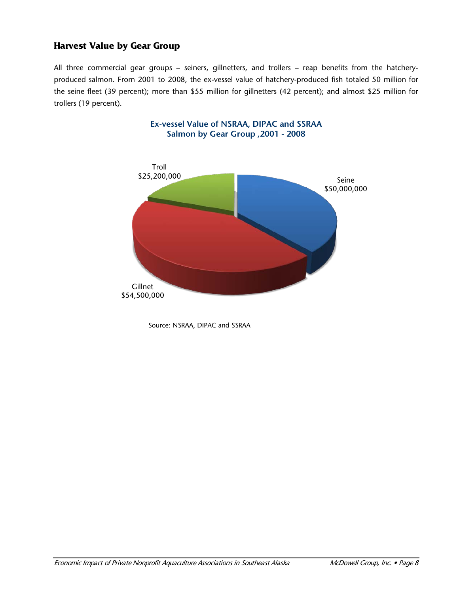### **Harvest Value by Gear Group**

All three commercial gear groups – seiners, gillnetters, and trollers – reap benefits from the hatcheryproduced salmon. From 2001 to 2008, the ex-vessel value of hatchery-produced fish totaled 50 million for the seine fleet (39 percent); more than \$55 million for gillnetters (42 percent); and almost \$25 million for trollers (19 percent).



Source: NSRAA, DIPAC and SSRAA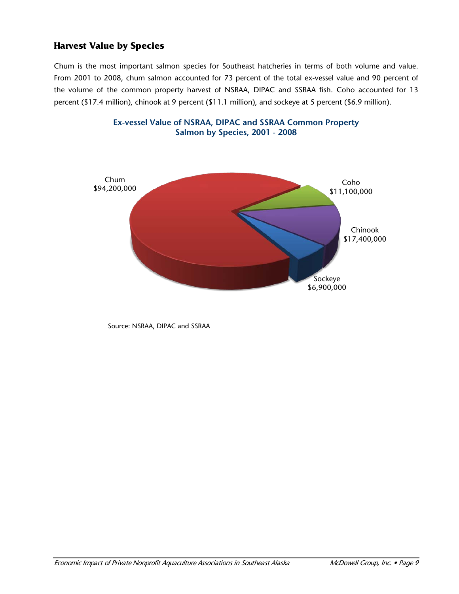## **Harvest Value by Species**

Chum is the most important salmon species for Southeast hatcheries in terms of both volume and value. From 2001 to 2008, chum salmon accounted for 73 percent of the total ex-vessel value and 90 percent of the volume of the common property harvest of NSRAA, DIPAC and SSRAA fish. Coho accounted for 13 percent (\$17.4 million), chinook at 9 percent (\$11.1 million), and sockeye at 5 percent (\$6.9 million).



**Ex-vessel Value of NSRAA, DIPAC and SSRAA Common Property Salmon by Species, 2001 - 2008**

Source: NSRAA, DIPAC and SSRAA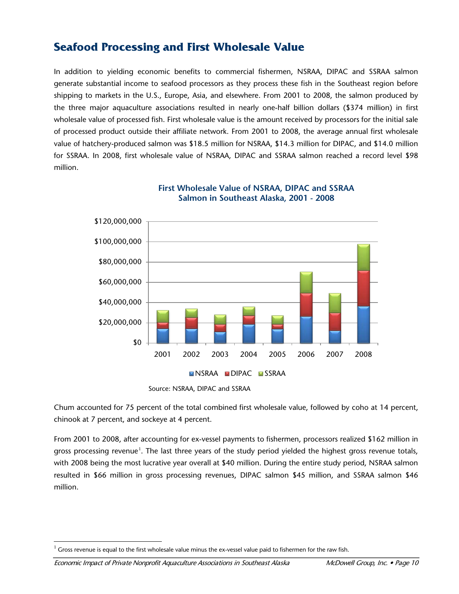## **Seafood Processing and First Wholesale Value**

In addition to yielding economic benefits to commercial fishermen, NSRAA, DIPAC and SSRAA salmon generate substantial income to seafood processors as they process these fish in the Southeast region before shipping to markets in the U.S., Europe, Asia, and elsewhere. From 2001 to 2008, the salmon produced by the three major aquaculture associations resulted in nearly one-half billion dollars (\$374 million) in first wholesale value of processed fish. First wholesale value is the amount received by processors for the initial sale of processed product outside their affiliate network. From 2001 to 2008, the average annual first wholesale value of hatchery-produced salmon was \$18.5 million for NSRAA, \$14.3 million for DIPAC, and \$14.0 million for SSRAA. In 2008, first wholesale value of NSRAA, DIPAC and SSRAA salmon reached a record level \$98 million.



#### **First Wholesale Value of NSRAA, DIPAC and SSRAA Salmon in Southeast Alaska, 2001 - 2008**

Chum accounted for 75 percent of the total combined first wholesale value, followed by coho at 14 percent, chinook at 7 percent, and sockeye at 4 percent.

From 2001 to 2008, after accounting for ex-vessel payments to fishermen, processors realized \$162 million in gross processing revenue<sup>[1](#page-12-0)</sup>. The last three years of the study period yielded the highest gross revenue totals, with 2008 being the most lucrative year overall at \$40 million. During the entire study period, NSRAA salmon resulted in \$66 million in gross processing revenues, DIPAC salmon \$45 million, and SSRAA salmon \$46 million.

Source: NSRAA, DIPAC and SSRAA

<span id="page-12-0"></span><sup>1</sup>  $1$  Gross revenue is equal to the first wholesale value minus the ex-vessel value paid to fishermen for the raw fish.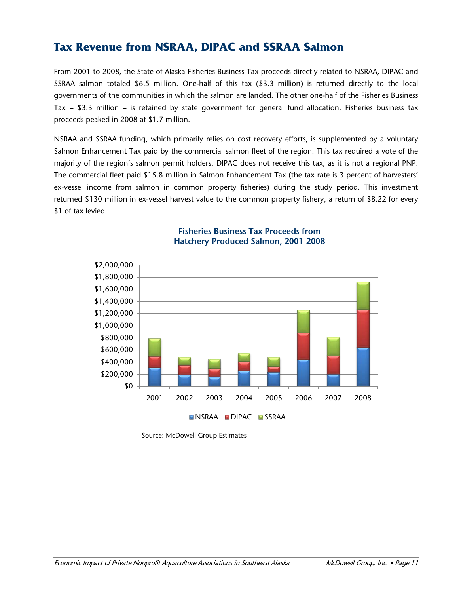## **Tax Revenue from NSRAA, DIPAC and SSRAA Salmon**

From 2001 to 2008, the State of Alaska Fisheries Business Tax proceeds directly related to NSRAA, DIPAC and SSRAA salmon totaled \$6.5 million. One-half of this tax (\$3.3 million) is returned directly to the local governments of the communities in which the salmon are landed. The other one-half of the Fisheries Business Tax – \$3.3 million – is retained by state government for general fund allocation. Fisheries business tax proceeds peaked in 2008 at \$1.7 million.

NSRAA and SSRAA funding, which primarily relies on cost recovery efforts, is supplemented by a voluntary Salmon Enhancement Tax paid by the commercial salmon fleet of the region. This tax required a vote of the majority of the region's salmon permit holders. DIPAC does not receive this tax, as it is not a regional PNP. The commercial fleet paid \$15.8 million in Salmon Enhancement Tax (the tax rate is 3 percent of harvesters' ex-vessel income from salmon in common property fisheries) during the study period. This investment returned \$130 million in ex-vessel harvest value to the common property fishery, a return of \$8.22 for every \$1 of tax levied.



#### **Fisheries Business Tax Proceeds from Hatchery-Produced Salmon, 2001-2008**

Source: McDowell Group Estimates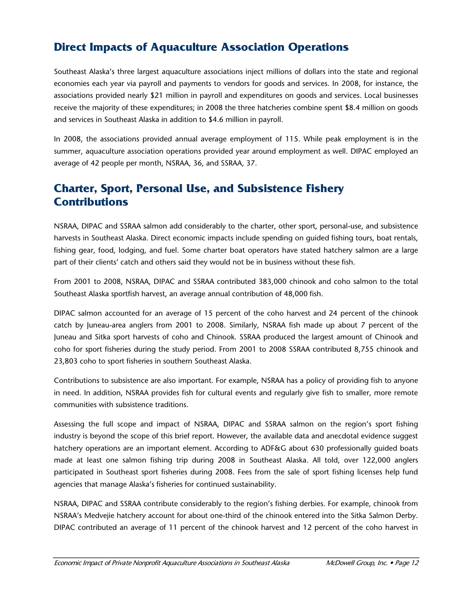# **Direct Impacts of Aquaculture Association Operations**

Southeast Alaska's three largest aquaculture associations inject millions of dollars into the state and regional economies each year via payroll and payments to vendors for goods and services. In 2008, for instance, the associations provided nearly \$21 million in payroll and expenditures on goods and services. Local businesses receive the majority of these expenditures; in 2008 the three hatcheries combine spent \$8.4 million on goods and services in Southeast Alaska in addition to \$4.6 million in payroll.

In 2008, the associations provided annual average employment of 115. While peak employment is in the summer, aquaculture association operations provided year around employment as well. DIPAC employed an average of 42 people per month, NSRAA, 36, and SSRAA, 37.

## **Charter, Sport, Personal Use, and Subsistence Fishery Contributions**

NSRAA, DIPAC and SSRAA salmon add considerably to the charter, other sport, personal-use, and subsistence harvests in Southeast Alaska. Direct economic impacts include spending on guided fishing tours, boat rentals, fishing gear, food, lodging, and fuel. Some charter boat operators have stated hatchery salmon are a large part of their clients' catch and others said they would not be in business without these fish.

From 2001 to 2008, NSRAA, DIPAC and SSRAA contributed 383,000 chinook and coho salmon to the total Southeast Alaska sportfish harvest, an average annual contribution of 48,000 fish.

DIPAC salmon accounted for an average of 15 percent of the coho harvest and 24 percent of the chinook catch by Juneau-area anglers from 2001 to 2008. Similarly, NSRAA fish made up about 7 percent of the Juneau and Sitka sport harvests of coho and Chinook. SSRAA produced the largest amount of Chinook and coho for sport fisheries during the study period. From 2001 to 2008 SSRAA contributed 8,755 chinook and 23,803 coho to sport fisheries in southern Southeast Alaska.

Contributions to subsistence are also important. For example, NSRAA has a policy of providing fish to anyone in need. In addition, NSRAA provides fish for cultural events and regularly give fish to smaller, more remote communities with subsistence traditions.

Assessing the full scope and impact of NSRAA, DIPAC and SSRAA salmon on the region's sport fishing industry is beyond the scope of this brief report. However, the available data and anecdotal evidence suggest hatchery operations are an important element. According to ADF&G about 630 professionally guided boats made at least one salmon fishing trip during 2008 in Southeast Alaska. All told, over 122,000 anglers participated in Southeast sport fisheries during 2008. Fees from the sale of sport fishing licenses help fund agencies that manage Alaska's fisheries for continued sustainability.

NSRAA, DIPAC and SSRAA contribute considerably to the region's fishing derbies. For example, chinook from NSRAA's Medvejie hatchery account for about one-third of the chinook entered into the Sitka Salmon Derby. DIPAC contributed an average of 11 percent of the chinook harvest and 12 percent of the coho harvest in